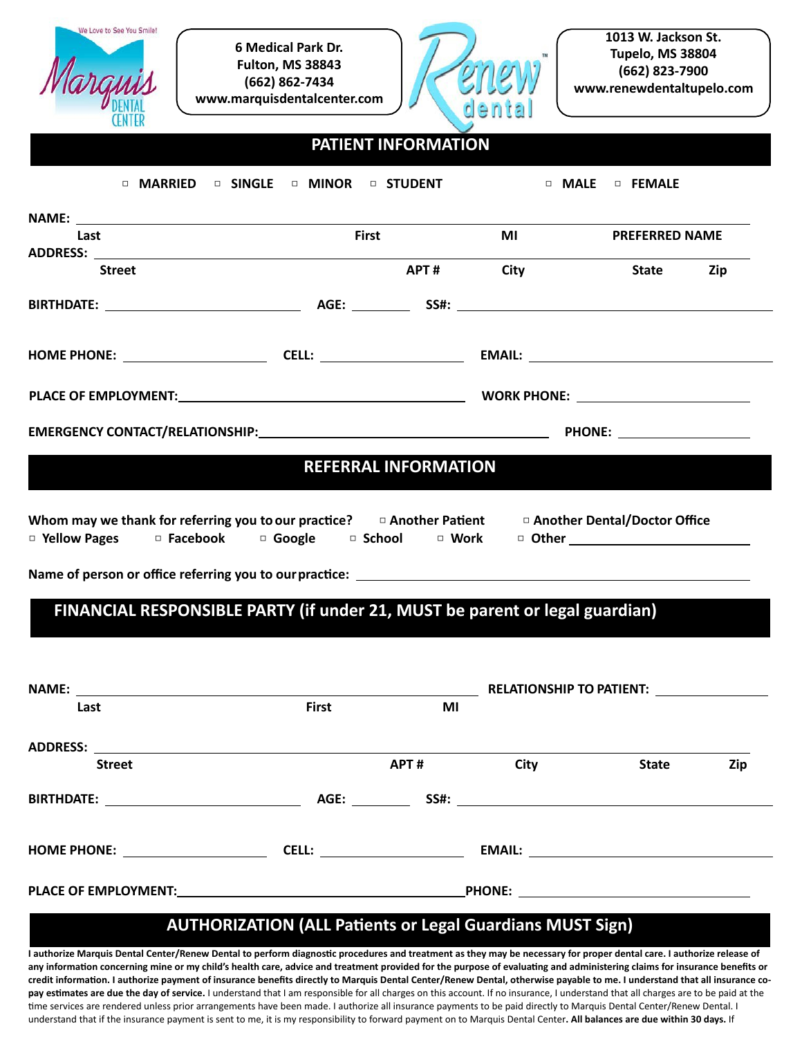

**6 Medical Park Dr. Fulton, MS 38843 (662) 862-7434 [www.marquisdentalcenter.com](http://www.marquisdentalcenter.com/)**



#### **PATIENT INFORMATION**

| Last                                                                                                                                                                                                                                       | <b>First</b> |                             | MI        | <b>PREFERRED NAME</b>                   |     |
|--------------------------------------------------------------------------------------------------------------------------------------------------------------------------------------------------------------------------------------------|--------------|-----------------------------|-----------|-----------------------------------------|-----|
|                                                                                                                                                                                                                                            |              |                             |           |                                         |     |
| Street                                                                                                                                                                                                                                     |              |                             | APT# City | State Zip                               |     |
|                                                                                                                                                                                                                                            |              |                             |           |                                         |     |
|                                                                                                                                                                                                                                            |              |                             |           |                                         |     |
|                                                                                                                                                                                                                                            |              |                             |           |                                         |     |
|                                                                                                                                                                                                                                            |              |                             |           |                                         |     |
|                                                                                                                                                                                                                                            |              | <b>REFERRAL INFORMATION</b> |           |                                         |     |
| FINANCIAL RESPONSIBLE PARTY (if under 21, MUST be parent or legal guardian)                                                                                                                                                                |              |                             |           |                                         |     |
|                                                                                                                                                                                                                                            |              |                             |           |                                         |     |
| Whom may we thank for referring you to our practice?<br>$\Box$ Another Patient $\Box$ Another Dental/Doctor Office<br><b>D</b> Yellow Pages The Tacebook The Google The School The Mork The Other The Theorem The Theorem The Tellow Pages |              |                             |           | <b>EXAMPLE RELATIONSHIP TO PATIENT:</b> |     |
| Last                                                                                                                                                                                                                                       | <b>First</b> | MI                          |           |                                         |     |
|                                                                                                                                                                                                                                            |              |                             |           |                                         |     |
| ADDRESS: $\overline{\phantom{a}}$<br><b>Street</b>                                                                                                                                                                                         |              | APT#                        | City      | <b>State</b>                            | Zip |
|                                                                                                                                                                                                                                            |              |                             |           |                                         |     |
|                                                                                                                                                                                                                                            |              |                             |           |                                         |     |

I authorize Marquis Dental Center/Renew Dental to perform diagnostic procedures and treatment as they may be necessary for proper dental care. I authorize release of any information concerning mine or my child's health care, advice and treatment provided for the purpose of evaluating and administering claims for insurance benefits or credit information. I authorize payment of insurance benefits directly to Marquis Dental Center/Renew Dental, otherwise payable to me. I understand that all insurance copay estimates are due the day of service. I understand that I am responsible for all charges on this account. If no insurance, I understand that all charges are to be paid at the time services are rendered unless prior arrangements have been made. I authorize all insurance payments to be paid directly to Marquis Dental Center/Renew Dental. I understand that if the insurance payment is sent to me, it is my responsibility to forward payment on to Marquis Dental Center. All balances are due within 30 days. If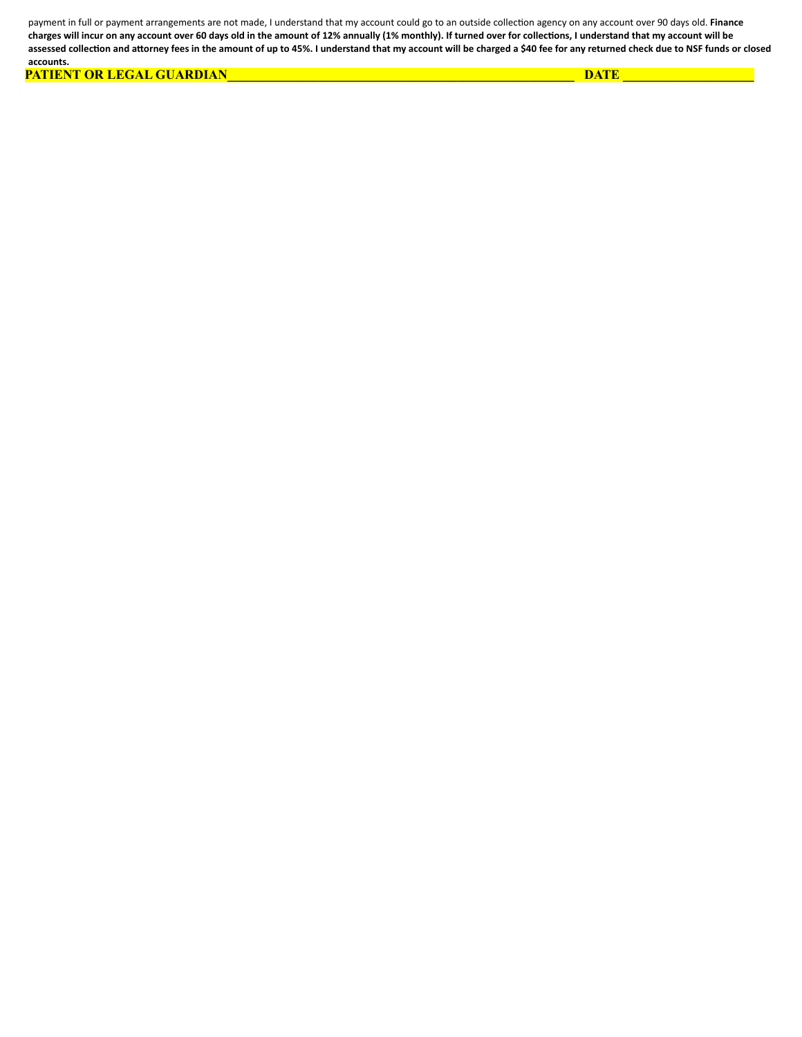payment in full or payment arrangements are not made, I understand that my account could go to an outside collection agency on any account over 90 days old. Finance charges will incur on any account over 60 days old in the amount of 12% annually (1% monthly). If turned over for collections, I understand that my account will be assessed collection and attorney fees in the amount of up to 45%. I understand that my account will be charged a \$40 fee for any returned check due to NSF funds or closed **accounts.**

 **PATIENT OR LEGAL GUARDIAN\_\_\_\_\_\_\_\_\_\_\_\_\_\_\_\_\_\_\_\_\_\_\_\_\_\_\_\_\_\_\_\_\_\_\_\_\_\_\_\_\_\_\_\_\_\_\_\_\_\_\_\_\_ DATE \_\_\_\_\_\_\_\_\_\_\_\_\_\_\_\_\_\_\_\_**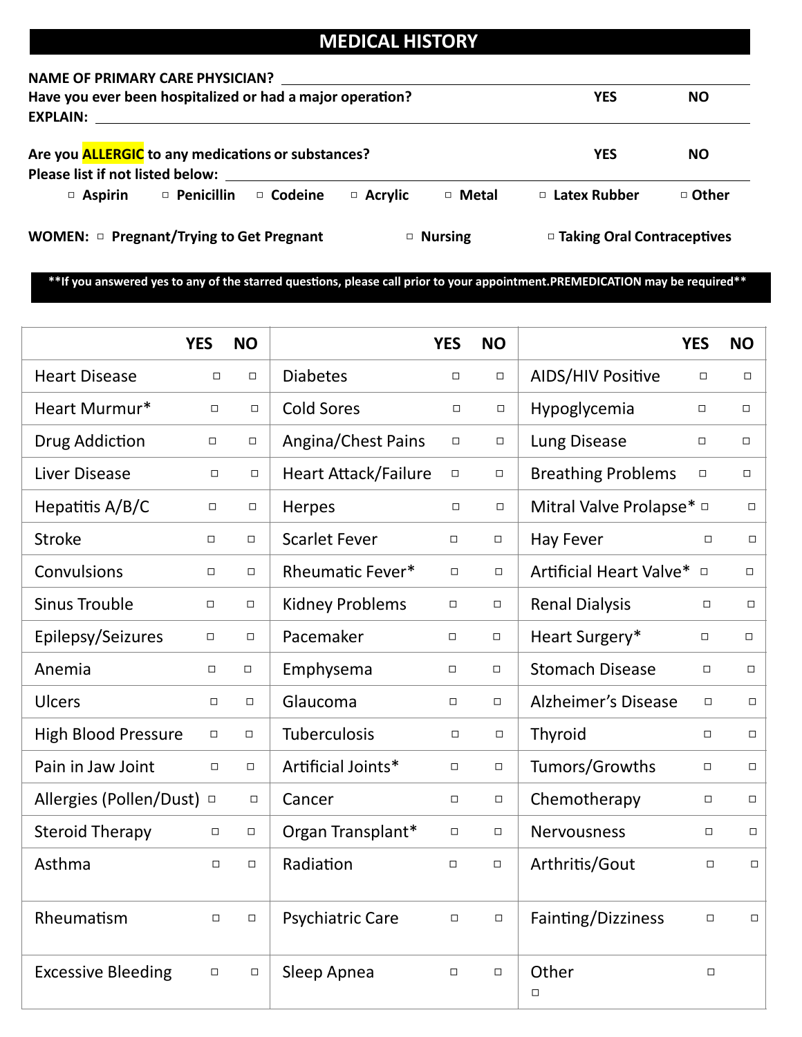## **MEDICAL HISTORY**

#### **NAME OF PRIMARY CARE PHYSICIAN?**

| Have you ever been hospitalized or had a major operation?<br>EXPLAIN: EXPLAIN                 |                        |                |                | <b>YES</b>                   | <b>NO</b> |
|-----------------------------------------------------------------------------------------------|------------------------|----------------|----------------|------------------------------|-----------|
| Are you <b>ALLERGIC</b> to any medications or substances?<br>Please list if not listed below: |                        |                |                | <b>YES</b>                   | NO.       |
| $\Box$ Aspirin                                                                                | □ Penicillin □ Codeine | $\Box$ Acrylic | $\Box$ Metal   | □ Latex Rubber               | □ Other   |
| WOMEN: $\Box$ Pregnant/Trying to Get Pregnant                                                 |                        |                | $\Box$ Nursing | □ Taking Oral Contraceptives |           |

\*\*If you answered yes to any of the starred questions, please call prior to your appointment.PREMEDICATION may be required\*\*

|                            | <b>YES</b> | <b>NO</b> |                             | <b>YES</b> | <b>NO</b> |                               | <b>YES</b> | <b>NO</b> |
|----------------------------|------------|-----------|-----------------------------|------------|-----------|-------------------------------|------------|-----------|
| <b>Heart Disease</b>       | $\Box$     | $\Box$    | <b>Diabetes</b>             | $\Box$     | $\Box$    | <b>AIDS/HIV Positive</b>      | $\Box$     | $\Box$    |
| Heart Murmur*              | $\Box$     | $\Box$    | <b>Cold Sores</b>           | $\Box$     | $\Box$    | Hypoglycemia                  | $\Box$     | $\Box$    |
| Drug Addiction             | $\Box$     | $\Box$    | <b>Angina/Chest Pains</b>   | $\Box$     | $\Box$    | Lung Disease                  | $\Box$     | $\Box$    |
| <b>Liver Disease</b>       | $\Box$     | $\Box$    | <b>Heart Attack/Failure</b> | $\Box$     | $\Box$    | <b>Breathing Problems</b>     | $\Box$     | $\Box$    |
| Hepatitis A/B/C            | $\Box$     | $\Box$    | Herpes                      | $\Box$     | $\Box$    | Mitral Valve Prolapse* $\Box$ |            | $\Box$    |
| <b>Stroke</b>              | $\Box$     | $\Box$    | <b>Scarlet Fever</b>        | $\Box$     | $\Box$    | <b>Hay Fever</b>              | $\Box$     | $\Box$    |
| Convulsions                | $\Box$     | $\Box$    | Rheumatic Fever*            | $\Box$     | $\Box$    | Artificial Heart Valve* □     |            | $\Box$    |
| <b>Sinus Trouble</b>       | $\Box$     | $\Box$    | <b>Kidney Problems</b>      | $\Box$     | $\Box$    | <b>Renal Dialysis</b>         | $\Box$     | $\Box$    |
| Epilepsy/Seizures          | $\Box$     | $\Box$    | Pacemaker                   | $\Box$     | $\Box$    | Heart Surgery*                | $\Box$     | $\Box$    |
| Anemia                     | $\Box$     | $\Box$    | Emphysema                   | $\Box$     | $\Box$    | <b>Stomach Disease</b>        | $\Box$     | $\Box$    |
| <b>Ulcers</b>              | $\Box$     | $\Box$    | Glaucoma                    | $\Box$     | $\Box$    | <b>Alzheimer's Disease</b>    | $\Box$     | $\Box$    |
| <b>High Blood Pressure</b> | $\Box$     | $\Box$    | Tuberculosis                | $\Box$     | $\Box$    | Thyroid                       | $\Box$     | $\Box$    |
| Pain in Jaw Joint          | $\Box$     | $\Box$    | Artificial Joints*          | $\Box$     | $\Box$    | Tumors/Growths                | $\Box$     | $\Box$    |
| Allergies (Pollen/Dust)    | $\Box$     | $\Box$    | Cancer                      | $\Box$     | $\Box$    | Chemotherapy                  | $\Box$     | $\Box$    |
| <b>Steroid Therapy</b>     | $\Box$     | $\Box$    | Organ Transplant*           | $\Box$     | $\Box$    | Nervousness                   | $\Box$     | $\Box$    |
| Asthma                     | $\Box$     | $\Box$    | Radiation                   | $\Box$     | $\Box$    | Arthritis/Gout                | $\Box$     | $\Box$    |
| Rheumatism                 | $\Box$     | $\Box$    | <b>Psychiatric Care</b>     | $\Box$     | $\Box$    | Fainting/Dizziness            | $\Box$     | $\Box$    |
| <b>Excessive Bleeding</b>  | $\Box$     | $\Box$    | Sleep Apnea                 | $\Box$     | $\Box$    | Other<br>$\Box$               | $\Box$     |           |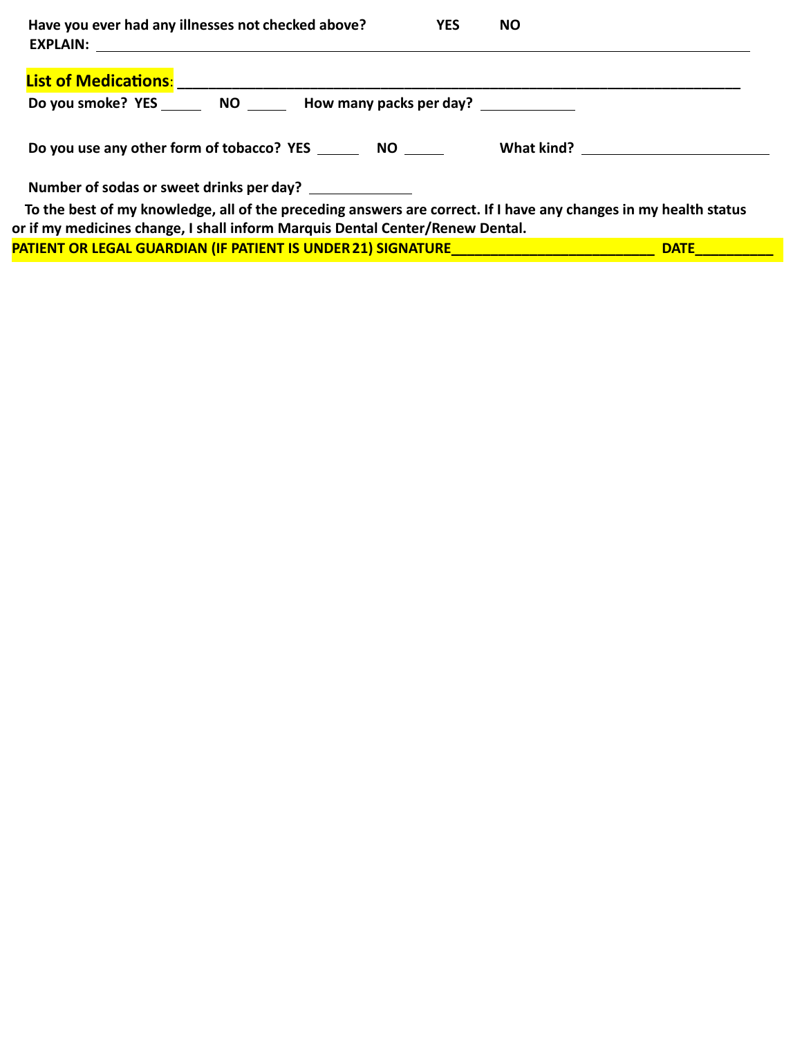| Have you ever had any illnesses not checked above?                                                               | <b>YES</b> | <b>NO</b>   |
|------------------------------------------------------------------------------------------------------------------|------------|-------------|
|                                                                                                                  |            |             |
| Do you smoke? YES ________ NO _______ How many packs per day? ____________                                       |            |             |
| Do you use any other form of tobacco? YES NO                                                                     |            | What kind?  |
| Number of sodas or sweet drinks per day? ______________                                                          |            |             |
| To the best of my knowledge, all of the preceding answers are correct. If I have any changes in my health status |            |             |
| or if my medicines change, I shall inform Marquis Dental Center/Renew Dental.                                    |            |             |
| PATIENT OR LEGAL GUARDIAN (IF PATIENT IS UNDER 21) SIGNATURE                                                     |            | <b>DATE</b> |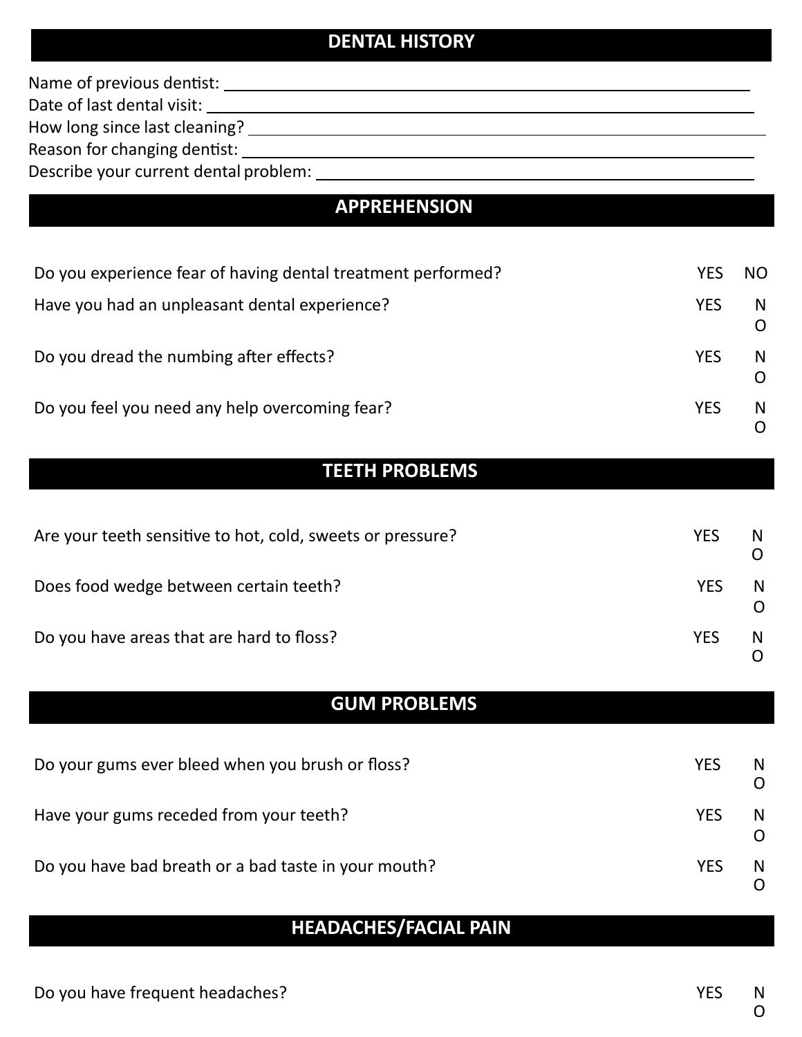# **DENTAL HISTORY**

| Name of previous dentist:                     |  |
|-----------------------------------------------|--|
| Date of last dental visit:                    |  |
| How long since last cleaning? __              |  |
| Reason for changing dentist:                  |  |
| Describe your current dental problem: _______ |  |
| <b>APPREHENSION</b>                           |  |
|                                               |  |

| Do you experience fear of having dental treatment performed? | YES        | <b>NO</b> |
|--------------------------------------------------------------|------------|-----------|
| Have you had an unpleasant dental experience?                | <b>YES</b> | N.<br>O   |
| Do you dread the numbing after effects?                      | <b>YES</b> | N.        |
| Do you feel you need any help overcoming fear?               | <b>YES</b> | N.        |

# **TEETH PROBLEMS**

| Are your teeth sensitive to hot, cold, sweets or pressure? | <b>YES</b> | N  |
|------------------------------------------------------------|------------|----|
| Does food wedge between certain teeth?                     | <b>YES</b> | N  |
| Do you have areas that are hard to floss?                  | <b>YES</b> | N. |

# **GUM PROBLEMS**

| Do your gums ever bleed when you brush or floss?     | <b>YES</b> | N  |
|------------------------------------------------------|------------|----|
| Have your gums receded from your teeth?              | <b>YES</b> | N. |
| Do you have bad breath or a bad taste in your mouth? | YFS        | N. |

# **HEADACHES/FACIAL PAIN**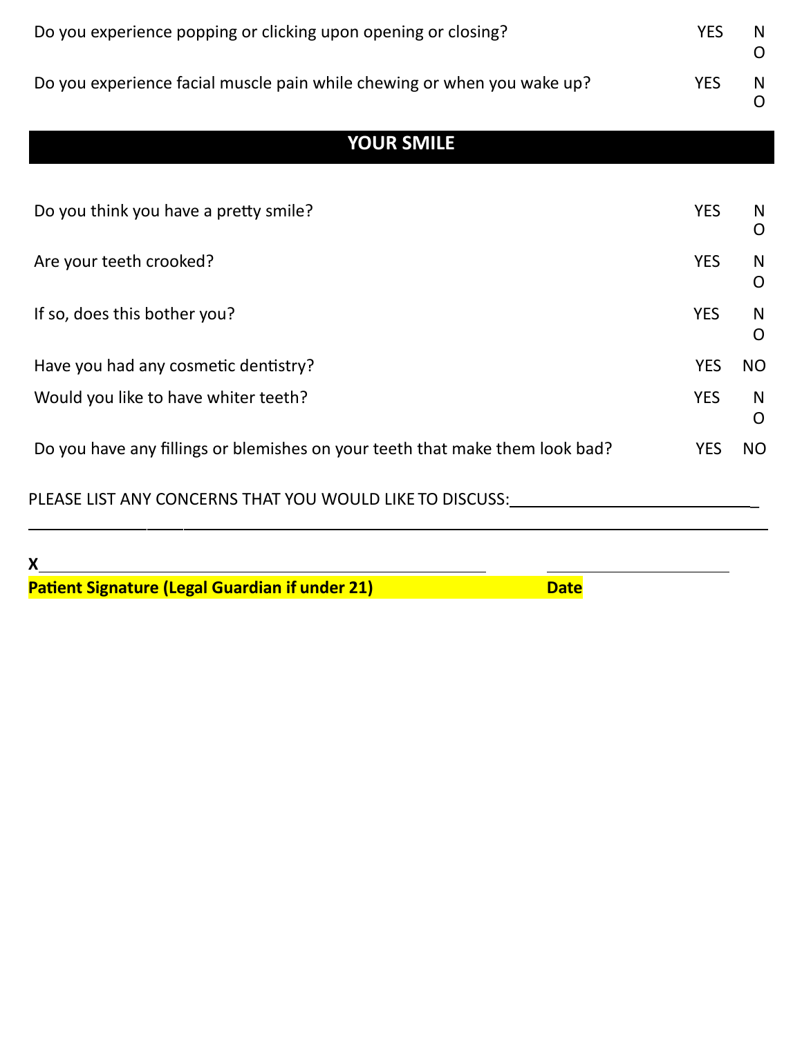| Do you experience popping or clicking upon opening or closing?          | YFS |  |
|-------------------------------------------------------------------------|-----|--|
| Do you experience facial muscle pain while chewing or when you wake up? | YES |  |

# **YOUR SMILE**

| Do you think you have a pretty smile?                                        | <b>YES</b> | N<br>O    |
|------------------------------------------------------------------------------|------------|-----------|
| Are your teeth crooked?                                                      | <b>YES</b> | N<br>O    |
| If so, does this bother you?                                                 | <b>YES</b> | N<br>O    |
| Have you had any cosmetic dentistry?                                         | <b>YES</b> | NO.       |
| Would you like to have whiter teeth?                                         | <b>YES</b> | N<br>O    |
| Do you have any fillings or blemishes on your teeth that make them look bad? | <b>YES</b> | <b>NO</b> |
| PLEASE LIST ANY CONCERNS THAT YOU WOULD LIKE TO DISCUSS:                     |            |           |

**X Patient Signature (Legal Guardian if under 21)** Date